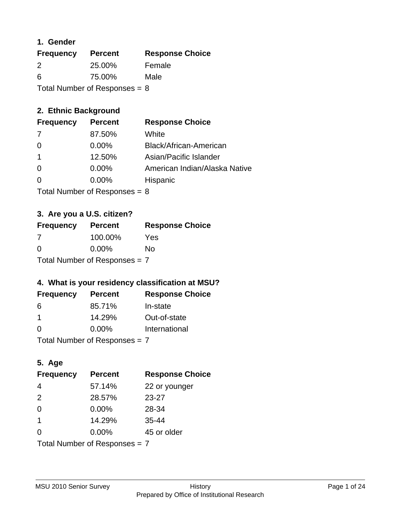### **1. Gender**

| <b>Frequency</b>                | <b>Percent</b> | <b>Response Choice</b> |
|---------------------------------|----------------|------------------------|
| 2                               | 25.00%         | Female                 |
| 6                               | 75.00%         | Male                   |
| Total Number of Responses = $8$ |                |                        |

## **2. Ethnic Background**

| <b>Frequency</b> | <b>Percent</b> | <b>Response Choice</b>        |
|------------------|----------------|-------------------------------|
| -7               | 87.50%         | White                         |
| $\Omega$         | $0.00\%$       | Black/African-American        |
|                  | 12.50%         | Asian/Pacific Islander        |
| $\Omega$         | $0.00\%$       | American Indian/Alaska Native |
|                  | $0.00\%$       | Hispanic                      |
|                  |                |                               |

Total Number of Responses = 8

## **3. Are you a U.S. citizen?**

| <b>Frequency</b>                | <b>Percent</b> | <b>Response Choice</b> |
|---------------------------------|----------------|------------------------|
| 7                               | 100.00%        | Yes                    |
| $\Omega$                        | $0.00\%$       | No                     |
| Total Number of Responses $= 7$ |                |                        |

## **4. What is your residency classification at MSU?**

| <b>Frequency</b> | <b>Percent</b> | <b>Response Choice</b> |
|------------------|----------------|------------------------|
| 6                | 85.71%         | In-state               |
| -1               | 14.29%         | Out-of-state           |
| $\Omega$         | $0.00\%$       | International          |
|                  |                |                        |

Total Number of Responses = 7

## **5. Age**

| <b>Frequency</b>              | <b>Percent</b> | <b>Response Choice</b> |
|-------------------------------|----------------|------------------------|
| $\overline{4}$                | 57.14%         | 22 or younger          |
| 2                             | 28.57%         | $23 - 27$              |
| $\Omega$                      | 0.00%          | 28-34                  |
| $\overline{\mathbf{1}}$       | 14.29%         | $35 - 44$              |
| $\Omega$                      | 0.00%          | 45 or older            |
| Total Number of Responses = 7 |                |                        |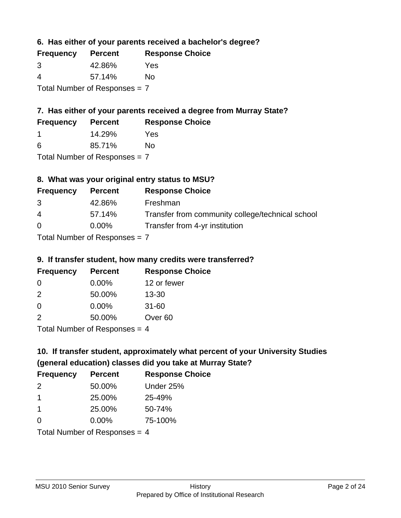**6. Has either of your parents received a bachelor's degree?**

| <b>Frequency</b>                | <b>Percent</b> | <b>Response Choice</b> |
|---------------------------------|----------------|------------------------|
| 3                               | 42.86%         | Yes                    |
| 4                               | 57.14%         | Nο                     |
| Total Number of Responses $= 7$ |                |                        |

## **7. Has either of your parents received a degree from Murray State?**

| <b>Frequency</b> | <b>Percent</b> | <b>Response Choice</b> |
|------------------|----------------|------------------------|
|                  | 14.29%         | Yes                    |
| -6               | 85.71%         | No                     |

Total Number of Responses = 7

## **8. What was your original entry status to MSU?**

| <b>Frequency</b> | <b>Percent</b>             | <b>Response Choice</b>                           |
|------------------|----------------------------|--------------------------------------------------|
| 3                | 42.86%                     | Freshman                                         |
| $\overline{4}$   | 57.14%                     | Transfer from community college/technical school |
| $\Omega$         | $0.00\%$                   | Transfer from 4-yr institution                   |
|                  | Tetal Number of Desperance |                                                  |

Total Number of Responses = 7

### **9. If transfer student, how many credits were transferred?**

| <b>Frequency</b>      | <b>Percent</b> | <b>Response Choice</b> |
|-----------------------|----------------|------------------------|
| -0                    | $0.00\%$       | 12 or fewer            |
| $\mathcal{P}$         | 50.00%         | $13 - 30$              |
| 0                     | 0.00%          | $31 - 60$              |
| $\mathcal{P}$         | 50.00%         | Over <sub>60</sub>     |
| Total Number of Doepo |                |                        |

Total Number of Responses = 4

# **10. If transfer student, approximately what percent of your University Studies (general education) classes did you take at Murray State?**

| <b>Frequency</b>                | <b>Percent</b> | <b>Response Choice</b> |
|---------------------------------|----------------|------------------------|
| 2                               | 50.00%         | Under 25%              |
| -1                              | 25.00%         | 25-49%                 |
| -1                              | 25.00%         | 50-74%                 |
| $\Omega$                        | 0.00%          | 75-100%                |
| Total Number of Responses $-$ 1 |                |                        |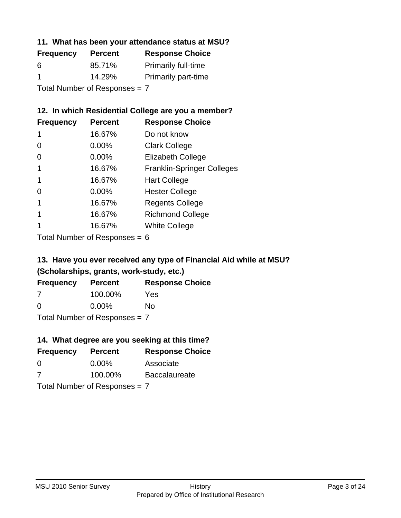### **11. What has been your attendance status at MSU?**

| <b>Frequency</b>              | <b>Percent</b> | <b>Response Choice</b>     |
|-------------------------------|----------------|----------------------------|
| 6                             | 85.71%         | <b>Primarily full-time</b> |
| -1                            | 14.29%         | <b>Primarily part-time</b> |
| Total Number of Responses = 7 |                |                            |

## **12. In which Residential College are you a member?**

| <b>Frequency</b> | <b>Percent</b> | <b>Response Choice</b>            |
|------------------|----------------|-----------------------------------|
| 1                | 16.67%         | Do not know                       |
| 0                | $0.00\%$       | <b>Clark College</b>              |
| 0                | 0.00%          | <b>Elizabeth College</b>          |
|                  | 16.67%         | <b>Franklin-Springer Colleges</b> |
|                  | 16.67%         | <b>Hart College</b>               |
| 0                | $0.00\%$       | <b>Hester College</b>             |
|                  | 16.67%         | <b>Regents College</b>            |
|                  | 16.67%         | <b>Richmond College</b>           |
|                  | 16.67%         | <b>White College</b>              |
|                  |                |                                   |

Total Number of Responses = 6

## **13. Have you ever received any type of Financial Aid while at MSU? (Scholarships, grants, work-study, etc.)**

| <b>Frequency</b>              | <b>Percent</b> | <b>Response Choice</b> |
|-------------------------------|----------------|------------------------|
| 7                             | 100.00%        | Yes                    |
| 0                             | $0.00\%$       | Nο                     |
| Total Number of Responses = 7 |                |                        |

### **14. What degree are you seeking at this time?**

| <b>Frequency</b> | <b>Percent</b>                  | <b>Response Choice</b> |
|------------------|---------------------------------|------------------------|
| 0                | $0.00\%$                        | Associate              |
| 7                | 100.00%                         | <b>Baccalaureate</b>   |
|                  | Total Number of Responses $= 7$ |                        |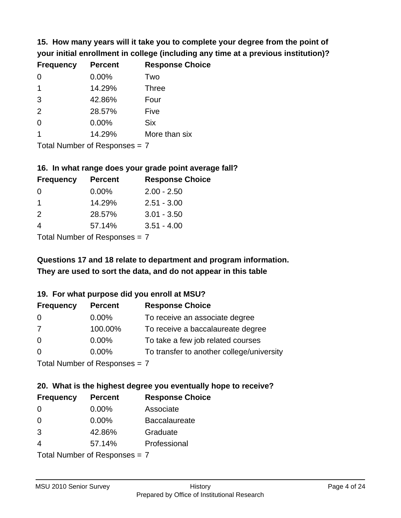**15. How many years will it take you to complete your degree from the point of your initial enrollment in college (including any time at a previous institution)?**

| <b>Frequency</b> | <b>Percent</b> | <b>Response Choice</b> |
|------------------|----------------|------------------------|
| $\Omega$         | 0.00%          | Two                    |
| 1                | 14.29%         | <b>Three</b>           |
| 3                | 42.86%         | Four                   |
| 2                | 28.57%         | Five                   |
| 0                | 0.00%          | <b>Six</b>             |
|                  | 14.29%         | More than six          |
|                  |                |                        |

Total Number of Responses = 7

#### **16. In what range does your grade point average fall?**

| <b>Frequency</b> | <b>Percent</b> | <b>Response Choice</b> |
|------------------|----------------|------------------------|
| O                | $0.00\%$       | $2.00 - 2.50$          |
| 1                | 14.29%         | $2.51 - 3.00$          |
| $\mathcal{P}$    | 28.57%         | $3.01 - 3.50$          |
|                  | 57.14%         | $3.51 - 4.00$          |
|                  |                |                        |

Total Number of Responses = 7

## **They are used to sort the data, and do not appear in this table Questions 17 and 18 relate to department and program information.**

### **19. For what purpose did you enroll at MSU?**

| <b>Frequency</b> | <b>Percent</b>              | <b>Response Choice</b>                    |
|------------------|-----------------------------|-------------------------------------------|
| 0                | $0.00\%$                    | To receive an associate degree            |
| 7                | 100.00%                     | To receive a baccalaureate degree         |
| $\overline{0}$   | $0.00\%$                    | To take a few job related courses         |
| $\Omega$         | $0.00\%$                    | To transfer to another college/university |
|                  | Total Number of Despesses 7 |                                           |

Total Number of Responses = 7

# **20. What is the highest degree you eventually hope to receive?**

| <b>Frequency</b> | <b>Percent</b>             | <b>Response Choice</b> |
|------------------|----------------------------|------------------------|
| 0                | $0.00\%$                   | Associate              |
| 0                | $0.00\%$                   | <b>Baccalaureate</b>   |
| 3                | 42.86%                     | Graduate               |
| 4                | 57.14%                     | Professional           |
|                  | Tatal Number of Desperance |                        |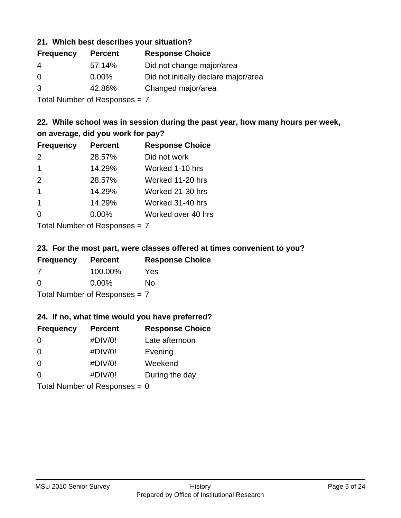### **21. Which best describes your situation?**

| <b>Frequency</b> | <b>Percent</b> | <b>Response Choice</b>               |
|------------------|----------------|--------------------------------------|
| -4               | 57.14%         | Did not change major/area            |
| $\Omega$         | $0.00\%$       | Did not initially declare major/area |
| 3                | 42.86%         | Changed major/area                   |
|                  |                |                                      |

Total Number of Responses = 7

## **22. While school was in session during the past year, how many hours per week, on average, did you work for pay?**

| <b>Frequency</b> | <b>Percent</b> | <b>Response Choice</b> |
|------------------|----------------|------------------------|
| 2                | 28.57%         | Did not work           |
| $\overline{1}$   | 14.29%         | Worked 1-10 hrs        |
| 2                | 28.57%         | Worked 11-20 hrs       |
| $\mathbf 1$      | 14.29%         | Worked 21-30 hrs       |
| $\mathbf 1$      | 14.29%         | Worked 31-40 hrs       |
| $\Omega$         | 0.00%          | Worked over 40 hrs     |
|                  |                |                        |

Total Number of Responses = 7

### **23. For the most part, were classes offered at times convenient to you?**

| <b>Frequency</b>                | <b>Percent</b> | <b>Response Choice</b> |
|---------------------------------|----------------|------------------------|
| -7                              | 100.00%        | Yes                    |
| $\Omega$                        | $0.00\%$       | Nο                     |
| Total Number of Responses = $7$ |                |                        |

### **24. If no, what time would you have preferred?**

| <b>Frequency</b> | <b>Percent</b>                  | <b>Response Choice</b> |
|------------------|---------------------------------|------------------------|
| $\Omega$         | #DIV/0!                         | Late afternoon         |
| 0                | #DIV/0!                         | Evening                |
| 0                | #DIV/0!                         | Weekend                |
| $\Omega$         | #DIV/0!                         | During the day         |
|                  | Total Number of Responses = $0$ |                        |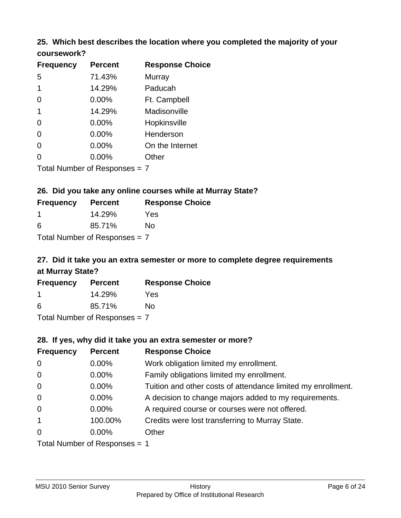## **25. Which best describes the location where you completed the majority of your coursework?**

| <b>Frequency</b> | <b>Percent</b>                  | <b>Response Choice</b> |
|------------------|---------------------------------|------------------------|
| 5                | 71.43%                          | Murray                 |
| 1                | 14.29%                          | Paducah                |
| 0                | 0.00%                           | Ft. Campbell           |
| 1                | 14.29%                          | Madisonville           |
| 0                | 0.00%                           | Hopkinsville           |
| 0                | 0.00%                           | Henderson              |
| 0                | 0.00%                           | On the Internet        |
| 0                | 0.00%                           | Other                  |
|                  | Total Number of Responses $= 7$ |                        |

**26. Did you take any online courses while at Murray State?**

| <b>Frequency</b>                | <b>Percent</b> | <b>Response Choice</b> |
|---------------------------------|----------------|------------------------|
| -1                              | 14.29%         | Yes                    |
| 6                               | 85.71%         | Nο                     |
| Total Number of Responses = $7$ |                |                        |

## **27. Did it take you an extra semester or more to complete degree requirements at Murray State?**

| <b>Frequency</b> | <b>Percent</b>             | <b>Response Choice</b> |
|------------------|----------------------------|------------------------|
|                  | 14.29%                     | Yes                    |
| 6                | 85.71%                     | Nο                     |
|                  | Tatal Manakan af Dagmanage |                        |

Total Number of Responses = 7

### **28. If yes, why did it take you an extra semester or more?**

| <b>Frequency</b> | <b>Percent</b>                  | <b>Response Choice</b>                                       |
|------------------|---------------------------------|--------------------------------------------------------------|
| $\overline{0}$   | $0.00\%$                        | Work obligation limited my enrollment.                       |
| $\mathbf 0$      | $0.00\%$                        | Family obligations limited my enrollment.                    |
| $\overline{0}$   | $0.00\%$                        | Tuition and other costs of attendance limited my enrollment. |
| $\mathbf 0$      | $0.00\%$                        | A decision to change majors added to my requirements.        |
| $\mathbf 0$      | $0.00\%$                        | A required course or courses were not offered.               |
| $\mathbf{1}$     | 100.00%                         | Credits were lost transferring to Murray State.              |
| $\Omega$         | $0.00\%$                        | Other                                                        |
|                  | Total Number of Responses $= 1$ |                                                              |

MSU 2010 Senior Survey **History**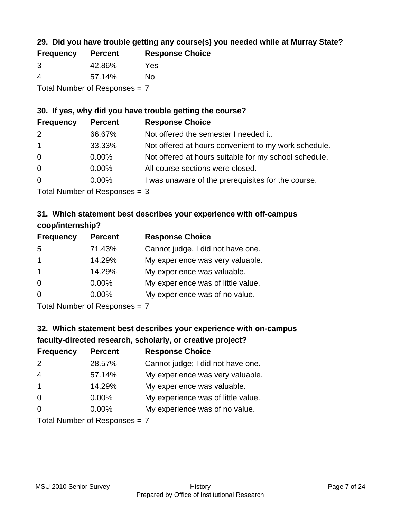## **29. Did you have trouble getting any course(s) you needed while at Murray State?**

| <b>Frequency</b>                | <b>Percent</b> | <b>Response Choice</b> |  |
|---------------------------------|----------------|------------------------|--|
| -3                              | 42.86%         | Yes                    |  |
| -4                              | 57.14%         | Nο                     |  |
| Total Number of Responses = $7$ |                |                        |  |

### **30. If yes, why did you have trouble getting the course?**

| <b>Frequency</b> | <b>Percent</b> | <b>Response Choice</b>                                |
|------------------|----------------|-------------------------------------------------------|
| 2                | 66.67%         | Not offered the semester I needed it.                 |
| $\overline{1}$   | 33.33%         | Not offered at hours convenient to my work schedule.  |
| $\overline{0}$   | $0.00\%$       | Not offered at hours suitable for my school schedule. |
| $\overline{0}$   | $0.00\%$       | All course sections were closed.                      |
| $\overline{0}$   | 0.00%          | I was unaware of the prerequisites for the course.    |
|                  |                |                                                       |

Total Number of Responses = 3

## **31. Which statement best describes your experience with off-campus coop/internship?**

| <b>Frequency</b> | <b>Percent</b> | <b>Response Choice</b>             |
|------------------|----------------|------------------------------------|
| 5                | 71.43%         | Cannot judge, I did not have one.  |
| $\mathbf 1$      | 14.29%         | My experience was very valuable.   |
| $\overline{1}$   | 14.29%         | My experience was valuable.        |
| $\Omega$         | $0.00\%$       | My experience was of little value. |
| $\Omega$         | 0.00%          | My experience was of no value.     |
|                  |                |                                    |

Total Number of Responses = 7

## **32. Which statement best describes your experience with on-campus faculty-directed research, scholarly, or creative project?**

| <b>Frequency</b> | <b>Percent</b>            | <b>Response Choice</b>             |
|------------------|---------------------------|------------------------------------|
| 2                | 28.57%                    | Cannot judge; I did not have one.  |
| $\overline{4}$   | 57.14%                    | My experience was very valuable.   |
| $\overline{1}$   | 14.29%                    | My experience was valuable.        |
| $\Omega$         | $0.00\%$                  | My experience was of little value. |
| $\Omega$         | 0.00%                     | My experience was of no value.     |
|                  | Total Number of Deepersee |                                    |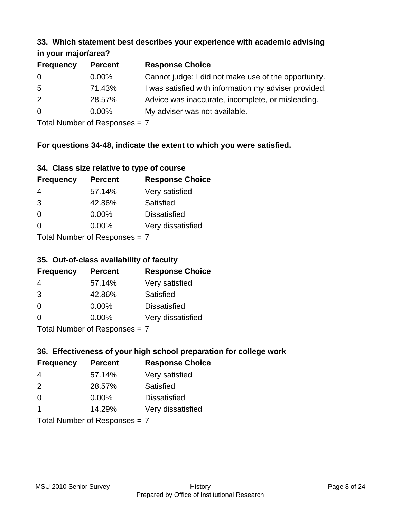#### **33. Which statement best describes your experience with academic advising in your major/area?**

| 11.70011110001701001 |                |                                                       |
|----------------------|----------------|-------------------------------------------------------|
| <b>Frequency</b>     | <b>Percent</b> | <b>Response Choice</b>                                |
| 0                    | $0.00\%$       | Cannot judge; I did not make use of the opportunity.  |
| 5                    | 71.43%         | I was satisfied with information my adviser provided. |
| 2                    | 28.57%         | Advice was inaccurate, incomplete, or misleading.     |
| $\overline{0}$       | $0.00\%$       | My adviser was not available.                         |
|                      |                |                                                       |

Total Number of Responses = 7

## **For questions 34-48, indicate the extent to which you were satisfied.**

| 34. Class size relative to type of course |  |  |  |  |  |  |  |  |
|-------------------------------------------|--|--|--|--|--|--|--|--|
|-------------------------------------------|--|--|--|--|--|--|--|--|

| <b>Frequency</b> | <b>Percent</b>                | <b>Response Choice</b> |
|------------------|-------------------------------|------------------------|
| 4                | 57.14%                        | Very satisfied         |
| 3                | 42.86%                        | Satisfied              |
| $\Omega$         | $0.00\%$                      | <b>Dissatisfied</b>    |
| $\Omega$         | $0.00\%$                      | Very dissatisfied      |
|                  | Total Number of Reconnege – 7 |                        |

Total Number of Responses  $=$   $\prime$ 

## **35. Out-of-class availability of faculty**

| <b>Frequency</b>           | <b>Percent</b> | <b>Response Choice</b> |
|----------------------------|----------------|------------------------|
| 4                          | 57.14%         | Very satisfied         |
| 3                          | 42.86%         | Satisfied              |
| $\Omega$                   | $0.00\%$       | <b>Dissatisfied</b>    |
| $\Omega$                   | $0.00\%$       | Very dissatisfied      |
| Total Number of Deepersoon |                |                        |

Total Number of Responses = 7

## **36. Effectiveness of your high school preparation for college work**

| <b>Frequency</b> | <b>Percent</b>                | <b>Response Choice</b> |
|------------------|-------------------------------|------------------------|
| 4                | 57.14%                        | Very satisfied         |
| $\mathcal{P}$    | 28.57%                        | Satisfied              |
| $\Omega$         | $0.00\%$                      | <b>Dissatisfied</b>    |
| -1               | 14.29%                        | Very dissatisfied      |
|                  | Total Number of Responses = 7 |                        |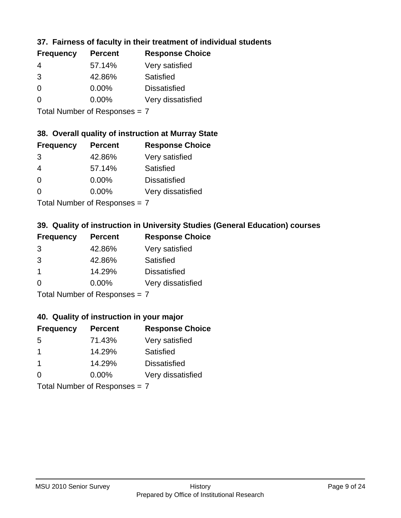## **37. Fairness of faculty in their treatment of individual students**

| <b>Frequency</b> | <b>Percent</b> | <b>Response Choice</b> |
|------------------|----------------|------------------------|
| 4                | 57.14%         | Very satisfied         |
| 3                | 42.86%         | Satisfied              |
| $\Omega$         | $0.00\%$       | <b>Dissatisfied</b>    |
| $\Omega$         | $0.00\%$       | Very dissatisfied      |
|                  |                |                        |

Total Number of Responses = 7

### **38. Overall quality of instruction at Murray State**

| <b>Frequency</b> | <b>Percent</b> | <b>Response Choice</b> |
|------------------|----------------|------------------------|
| 3                | 42.86%         | Very satisfied         |
| 4                | 57.14%         | Satisfied              |
| $\Omega$         | $0.00\%$       | <b>Dissatisfied</b>    |
| $\Omega$         | 0.00%          | Very dissatisfied      |
|                  |                |                        |

Total Number of Responses = 7

## **39. Quality of instruction in University Studies (General Education) courses**

| <b>Frequency</b> | <b>Percent</b>                                                                                                  | <b>Response Choice</b> |
|------------------|-----------------------------------------------------------------------------------------------------------------|------------------------|
| 3                | 42.86%                                                                                                          | Very satisfied         |
| 3                | 42.86%                                                                                                          | Satisfied              |
| $\mathbf 1$      | 14.29%                                                                                                          | <b>Dissatisfied</b>    |
| $\Omega$         | 0.00%                                                                                                           | Very dissatisfied      |
|                  | The Little and the Little Communication of the Communication of the Communication of the Communication of the U |                        |

Total Number of Responses = 7

### **40. Quality of instruction in your major**

| <b>Frequency</b> | <b>Percent</b>             | <b>Response Choice</b> |
|------------------|----------------------------|------------------------|
| .5               | 71.43%                     | Very satisfied         |
| -1               | 14.29%                     | Satisfied              |
| $\mathbf 1$      | 14.29%                     | <b>Dissatisfied</b>    |
| $\Omega$         | $0.00\%$                   | Very dissatisfied      |
|                  | Tatal Number of Desperance |                        |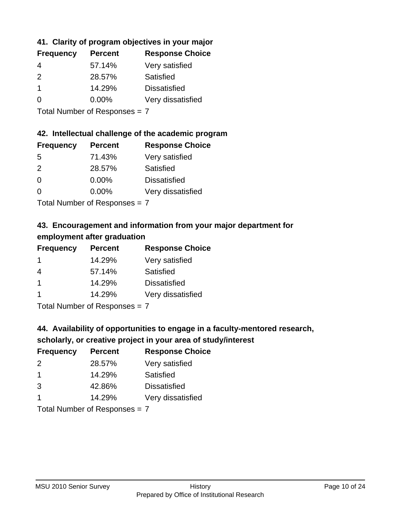## **41. Clarity of program objectives in your major**

| <b>Frequency</b> | <b>Percent</b> | <b>Response Choice</b> |
|------------------|----------------|------------------------|
| 4                | 57.14%         | Very satisfied         |
| $\mathcal{P}$    | 28.57%         | Satisfied              |
|                  | 14.29%         | <b>Dissatisfied</b>    |
| $\Omega$         | 0.00%          | Very dissatisfied      |
|                  |                |                        |

Total Number of Responses = 7

### **42. Intellectual challenge of the academic program**

| <b>Frequency</b> | <b>Percent</b> | <b>Response Choice</b> |
|------------------|----------------|------------------------|
| .5               | 71.43%         | Very satisfied         |
| $\mathcal{P}$    | 28.57%         | Satisfied              |
| $\Omega$         | $0.00\%$       | <b>Dissatisfied</b>    |
| O                | $0.00\%$       | Very dissatisfied      |
|                  |                |                        |

Total Number of Responses = 7

## **43. Encouragement and information from your major department for employment after graduation**

| <b>Frequency</b>     | <b>Percent</b> | <b>Response Choice</b> |
|----------------------|----------------|------------------------|
| -1                   | 14.29%         | Very satisfied         |
| 4                    | 57.14%         | Satisfied              |
| $\blacktriangleleft$ | 14.29%         | <b>Dissatisfied</b>    |
| -1                   | 14.29%         | Very dissatisfied      |
|                      |                |                        |

Total Number of Responses = 7

## **44. Availability of opportunities to engage in a faculty-mentored research,**

## **scholarly, or creative project in your area of study/interest**

| <b>Frequency</b> | <b>Percent</b> | <b>Response Choice</b> |
|------------------|----------------|------------------------|
| $\mathcal{P}$    | 28.57%         | Very satisfied         |
| -1               | 14.29%         | Satisfied              |
| 3                | 42.86%         | <b>Dissatisfied</b>    |
|                  | 14.29%         | Very dissatisfied      |
|                  |                |                        |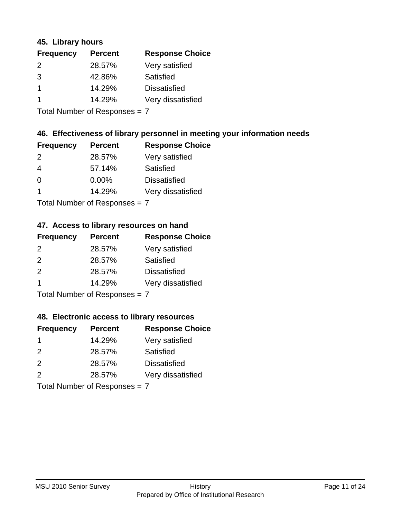### **45. Library hours**

| <b>Frequency</b> | <b>Percent</b> | <b>Response Choice</b> |
|------------------|----------------|------------------------|
| 2                | 28.57%         | Very satisfied         |
| 3                | 42.86%         | Satisfied              |
|                  | 14.29%         | <b>Dissatisfied</b>    |
|                  | 14.29%         | Very dissatisfied      |
|                  |                |                        |

Total Number of Responses = 7

### **46. Effectiveness of library personnel in meeting your information needs**

| <b>Frequency</b> | <b>Percent</b> | <b>Response Choice</b> |
|------------------|----------------|------------------------|
| $\mathcal{P}$    | 28.57%         | Very satisfied         |
| 4                | 57.14%         | Satisfied              |
| 0                | $0.00\%$       | <b>Dissatisfied</b>    |
|                  | 14.29%         | Very dissatisfied      |
|                  |                |                        |

Total Number of Responses = 7

## **47. Access to library resources on hand**

| <b>Frequency</b> | <b>Percent</b>                          | <b>Response Choice</b> |
|------------------|-----------------------------------------|------------------------|
| $\mathcal{P}$    | 28.57%                                  | Very satisfied         |
| $\mathcal{P}$    | 28.57%                                  | Satisfied              |
| 2                | 28.57%                                  | <b>Dissatisfied</b>    |
| -1               | 14.29%                                  | Very dissatisfied      |
|                  | $T$ at all Message and $D$ are a second |                        |

Total Number of Responses = 7

### **48. Electronic access to library resources**

| <b>Frequency</b> | <b>Percent</b>            | <b>Response Choice</b> |
|------------------|---------------------------|------------------------|
|                  | 14.29%                    | Very satisfied         |
| $\mathcal{P}$    | 28.57%                    | Satisfied              |
| 2                | 28.57%                    | <b>Dissatisfied</b>    |
| $\mathcal{P}$    | 28.57%                    | Very dissatisfied      |
|                  | Total Number of Deepensee |                        |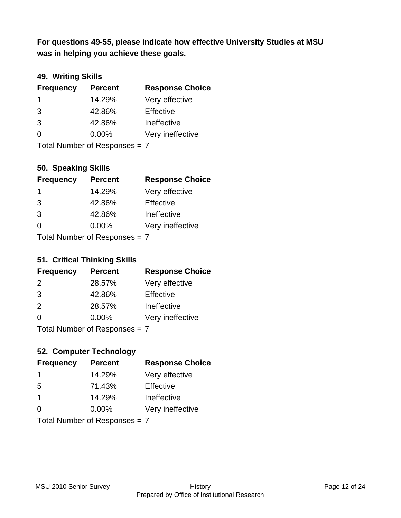**was in helping you achieve these goals. For questions 49-55, please indicate how effective University Studies at MSU** 

## **49. Writing Skills**

| <b>Frequency</b>              | <b>Percent</b> | <b>Response Choice</b> |
|-------------------------------|----------------|------------------------|
| -1                            | 14.29%         | Very effective         |
| 3                             | 42.86%         | Effective              |
| 3                             | 42.86%         | Ineffective            |
| $\Omega$                      | $0.00\%$       | Very ineffective       |
| Total Number of Responses = 7 |                |                        |

**50. Speaking Skills**

| <b>Frequency</b>               | <b>Percent</b> | <b>Response Choice</b> |
|--------------------------------|----------------|------------------------|
| 1                              | 14.29%         | Very effective         |
| 3                              | 42.86%         | Effective              |
| 3                              | 42.86%         | Ineffective            |
| ∩                              | $0.00\%$       | Very ineffective       |
| $Total Number of Denonone = 7$ |                |                        |

Total Number of Responses = 7

### **51. Critical Thinking Skills**

| <b>Frequency</b> | <b>Percent</b>             | <b>Response Choice</b> |
|------------------|----------------------------|------------------------|
| $\mathcal{P}$    | 28.57%                     | Very effective         |
| 3                | 42.86%                     | Effective              |
| 2                | 28.57%                     | Ineffective            |
| $\Omega$         | 0.00%                      | Very ineffective       |
|                  | Total Number of Desperance |                        |

Total Number of Responses = 7

## **52. Computer Technology**

| <b>Frequency</b> | <b>Percent</b>                | <b>Response Choice</b> |
|------------------|-------------------------------|------------------------|
| -1               | 14.29%                        | Very effective         |
| 5                | 71.43%                        | Effective              |
| $\mathbf 1$      | 14.29%                        | Ineffective            |
| $\Omega$         | $0.00\%$                      | Very ineffective       |
|                  | Total Number of Responses = 7 |                        |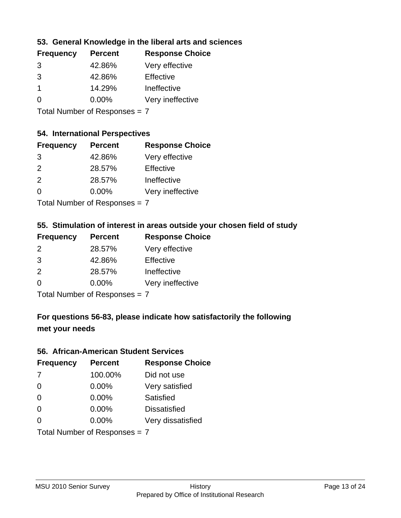### **53. General Knowledge in the liberal arts and sciences**

| <b>Frequency</b> | <b>Percent</b> | <b>Response Choice</b> |
|------------------|----------------|------------------------|
| 3                | 42.86%         | Very effective         |
| 3                | 42.86%         | Effective              |
|                  | 14.29%         | Ineffective            |
| $\Omega$         | 0.00%          | Very ineffective       |

Total Number of Responses = 7

### **54. International Perspectives**

| <b>Frequency</b> | <b>Percent</b> | <b>Response Choice</b> |
|------------------|----------------|------------------------|
| 3                | 42.86%         | Very effective         |
| $\mathcal{P}$    | 28.57%         | Effective              |
| $\mathcal{P}$    | 28.57%         | Ineffective            |
| ∩                | 0.00%          | Very ineffective       |
|                  |                |                        |

Total Number of Responses = 7

## **55. Stimulation of interest in areas outside your chosen field of study**

| <b>Frequency</b> | <b>Percent</b>              | <b>Response Choice</b> |
|------------------|-----------------------------|------------------------|
| 2                | 28.57%                      | Very effective         |
| 3                | 42.86%                      | Effective              |
| 2                | 28.57%                      | Ineffective            |
| $\Omega$         | 0.00%                       | Very ineffective       |
|                  | Tatal Manualan af Dannannan |                        |

Total Number of Responses = 7

## **For questions 56-83, please indicate how satisfactorily the following met your needs**

#### **56. African-American Student Services**

| <b>Frequency</b> | <b>Percent</b>                | <b>Response Choice</b> |
|------------------|-------------------------------|------------------------|
| 7                | 100.00%                       | Did not use            |
| $\Omega$         | 0.00%                         | Very satisfied         |
| $\Omega$         | 0.00%                         | Satisfied              |
| $\Omega$         | 0.00%                         | <b>Dissatisfied</b>    |
| $\Omega$         | 0.00%                         | Very dissatisfied      |
|                  | Total Number of Responses = 7 |                        |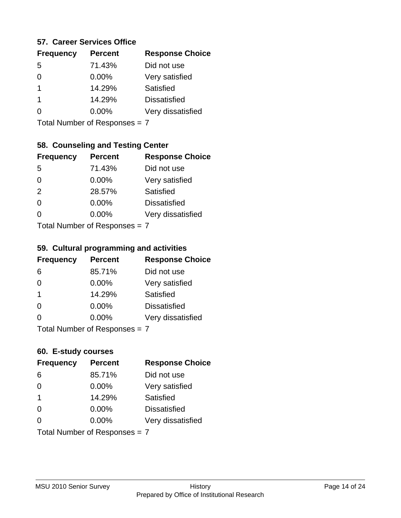### **57. Career Services Office**

| <b>Frequency</b> | <b>Percent</b> | <b>Response Choice</b> |
|------------------|----------------|------------------------|
| 5                | 71.43%         | Did not use            |
| 0                | 0.00%          | Very satisfied         |
| 1                | 14.29%         | Satisfied              |
| 1                | 14.29%         | <b>Dissatisfied</b>    |
|                  | $0.00\%$       | Very dissatisfied      |
|                  |                |                        |

Total Number of Responses = 7

## **58. Counseling and Testing Center**

| <b>Frequency</b>              | <b>Percent</b> | <b>Response Choice</b> |
|-------------------------------|----------------|------------------------|
| -5                            | 71.43%         | Did not use            |
| $\Omega$                      | 0.00%          | Very satisfied         |
| 2                             | 28.57%         | Satisfied              |
| 0                             | 0.00%          | <b>Dissatisfied</b>    |
| 0                             | 0.00%          | Very dissatisfied      |
| $Total Number of Denonce = 7$ |                |                        |

I otal Number of Responses =  $7$ 

#### **59. Cultural programming and activities**

| <b>Frequency</b>              | <b>Percent</b> | <b>Response Choice</b> |
|-------------------------------|----------------|------------------------|
| 6                             | 85.71%         | Did not use            |
| $\Omega$                      | $0.00\%$       | Very satisfied         |
| -1                            | 14.29%         | Satisfied              |
| $\Omega$                      | $0.00\%$       | <b>Dissatisfied</b>    |
| $\Omega$                      | 0.00%          | Very dissatisfied      |
| Total Number of Responses = 7 |                |                        |

### **60. E-study courses**

| <b>Frequency</b> | <b>Percent</b>                | <b>Response Choice</b> |
|------------------|-------------------------------|------------------------|
| 6                | 85.71%                        | Did not use            |
| $\Omega$         | 0.00%                         | Very satisfied         |
| $\mathbf 1$      | 14.29%                        | Satisfied              |
| $\Omega$         | $0.00\%$                      | <b>Dissatisfied</b>    |
| $\Omega$         | $0.00\%$                      | Very dissatisfied      |
|                  | Total Number of Responses = 7 |                        |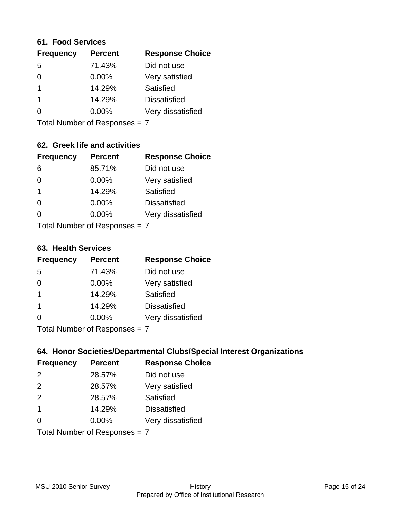### **61. Food Services**

| <b>Frequency</b> | <b>Percent</b> | <b>Response Choice</b> |
|------------------|----------------|------------------------|
| 5                | 71.43%         | Did not use            |
| 0                | 0.00%          | Very satisfied         |
|                  | 14.29%         | Satisfied              |
|                  | 14.29%         | <b>Dissatisfied</b>    |
| O                | $0.00\%$       | Very dissatisfied      |
|                  |                |                        |

Total Number of Responses = 7

## **62. Greek life and activities**

| <b>Frequency</b>                | <b>Percent</b> | <b>Response Choice</b> |
|---------------------------------|----------------|------------------------|
| 6                               | 85.71%         | Did not use            |
| 0                               | 0.00%          | Very satisfied         |
| 1                               | 14.29%         | Satisfied              |
| $\Omega$                        | 0.00%          | <b>Dissatisfied</b>    |
|                                 | 0.00%          | Very dissatisfied      |
| Total Number of Responses = $7$ |                |                        |

#### **63. Health Services**

| <b>Frequency</b> | <b>Percent</b>              | <b>Response Choice</b> |
|------------------|-----------------------------|------------------------|
| 5                | 71.43%                      | Did not use            |
| $\Omega$         | $0.00\%$                    | Very satisfied         |
| -1               | 14.29%                      | <b>Satisfied</b>       |
| -1               | 14.29%                      | <b>Dissatisfied</b>    |
| $\Omega$         | $0.00\%$                    | Very dissatisfied      |
|                  | Total Number of Despanses 7 |                        |

Total Number of Responses = 7

### **64. Honor Societies/Departmental Clubs/Special Interest Organizations**

| <b>Frequency</b>              | <b>Percent</b> | <b>Response Choice</b> |
|-------------------------------|----------------|------------------------|
| $\mathcal{P}$                 | 28.57%         | Did not use            |
| 2                             | 28.57%         | Very satisfied         |
| 2                             | 28.57%         | Satisfied              |
| $\mathbf 1$                   | 14.29%         | <b>Dissatisfied</b>    |
| 0                             | 0.00%          | Very dissatisfied      |
| Total Number of Responses = 7 |                |                        |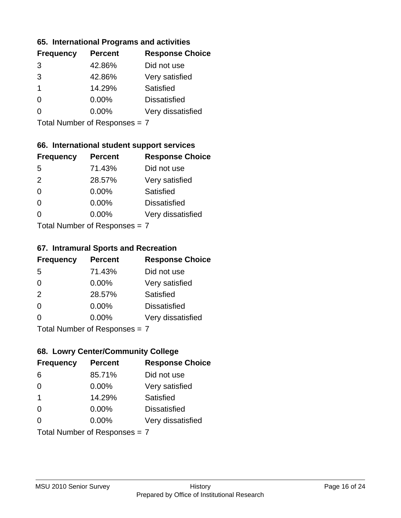### **65. International Programs and activities**

| <b>Frequency</b> | <b>Percent</b> | <b>Response Choice</b> |
|------------------|----------------|------------------------|
| 3                | 42.86%         | Did not use            |
| 3                | 42.86%         | Very satisfied         |
| 1                | 14.29%         | Satisfied              |
| O                | $0.00\%$       | <b>Dissatisfied</b>    |
|                  | $0.00\%$       | Very dissatisfied      |
|                  |                |                        |

Total Number of Responses = 7

## **66. International student support services**

| <b>Frequency</b>                | <b>Percent</b> | <b>Response Choice</b> |
|---------------------------------|----------------|------------------------|
| -5                              | 71.43%         | Did not use            |
| 2                               | 28.57%         | Very satisfied         |
| $\Omega$                        | 0.00%          | <b>Satisfied</b>       |
| $\Omega$                        | 0.00%          | <b>Dissatisfied</b>    |
| $\Omega$                        | $0.00\%$       | Very dissatisfied      |
| $Total Number of Doepopoog = 7$ |                |                        |

Total Number of Responses = 7

### **67. Intramural Sports and Recreation**

| <b>Frequency</b>               | <b>Percent</b> | <b>Response Choice</b> |
|--------------------------------|----------------|------------------------|
| 5                              | 71.43%         | Did not use            |
| $\Omega$                       | $0.00\%$       | Very satisfied         |
| 2                              | 28.57%         | <b>Satisfied</b>       |
| $\Omega$                       | $0.00\%$       | <b>Dissatisfied</b>    |
| $\Omega$                       | $0.00\%$       | Very dissatisfied      |
| Total Number of Poenonces $-7$ |                |                        |

Total Number of Responses = 7

### **68. Lowry Center/Community College**

| <b>Frequency</b>              | <b>Percent</b> | <b>Response Choice</b> |
|-------------------------------|----------------|------------------------|
| 6                             | 85.71%         | Did not use            |
| $\Omega$                      | 0.00%          | Very satisfied         |
| -1                            | 14.29%         | Satisfied              |
| $\Omega$                      | 0.00%          | <b>Dissatisfied</b>    |
| ∩                             | $0.00\%$       | Very dissatisfied      |
| Total Number of Responses = 7 |                |                        |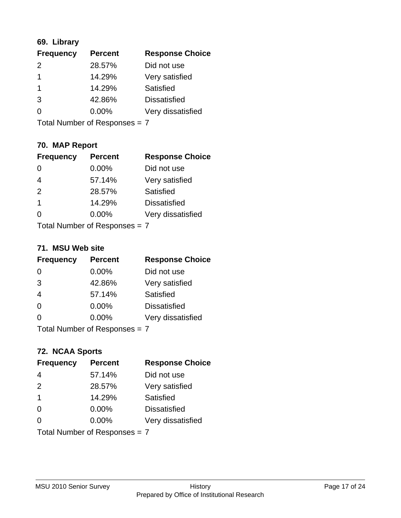## **69. Library**

| <b>Frequency</b> | <b>Percent</b> | <b>Response Choice</b> |
|------------------|----------------|------------------------|
| $\mathcal{P}$    | 28.57%         | Did not use            |
| 1                | 14.29%         | Very satisfied         |
| 1                | 14.29%         | Satisfied              |
| 3                | 42.86%         | <b>Dissatisfied</b>    |
| 0                | $0.00\%$       | Very dissatisfied      |
|                  |                |                        |

Total Number of Responses = 7

## **70. MAP Report**

| <b>Frequency</b>              | <b>Percent</b> | <b>Response Choice</b> |
|-------------------------------|----------------|------------------------|
|                               | 0.00%          | Did not use            |
| $\overline{4}$                | 57.14%         | Very satisfied         |
| 2                             | 28.57%         | Satisfied              |
| 1                             | 14.29%         | <b>Dissatisfied</b>    |
| O                             | 0.00%          | Very dissatisfied      |
| Total Number of Responses = 7 |                |                        |

#### **71. MSU Web site**

| <b>Frequency</b>              | <b>Percent</b> | <b>Response Choice</b> |
|-------------------------------|----------------|------------------------|
| $\Omega$                      | 0.00%          | Did not use            |
| 3                             | 42.86%         | Very satisfied         |
| $\overline{4}$                | 57.14%         | Satisfied              |
| $\Omega$                      | 0.00%          | <b>Dissatisfied</b>    |
| $\Omega$                      | 0.00%          | Very dissatisfied      |
| Total Number of Responses = 7 |                |                        |

### **72. NCAA Sports**

| <b>Frequency</b>              | <b>Percent</b> | <b>Response Choice</b> |
|-------------------------------|----------------|------------------------|
| $\overline{4}$                | 57.14%         | Did not use            |
| 2                             | 28.57%         | Very satisfied         |
| $\mathbf 1$                   | 14.29%         | <b>Satisfied</b>       |
| 0                             | $0.00\%$       | <b>Dissatisfied</b>    |
| $\Omega$                      | 0.00%          | Very dissatisfied      |
| Total Number of Responses = 7 |                |                        |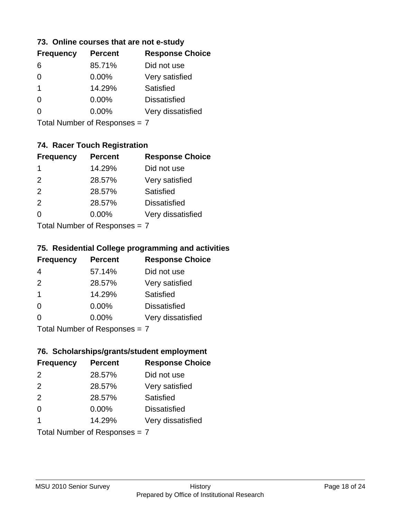### **73. Online courses that are not e-study**

| <b>Frequency</b> | <b>Percent</b> | <b>Response Choice</b> |
|------------------|----------------|------------------------|
| 6                | 85.71%         | Did not use            |
|                  | $0.00\%$       | Very satisfied         |
| 1                | 14.29%         | Satisfied              |
|                  | $0.00\%$       | <b>Dissatisfied</b>    |
|                  | $0.00\%$       | Very dissatisfied      |
|                  |                |                        |

Total Number of Responses = 7

## **74. Racer Touch Registration**

| <b>Frequency</b>            | <b>Percent</b> | <b>Response Choice</b> |
|-----------------------------|----------------|------------------------|
| -1                          | 14.29%         | Did not use            |
| $\mathcal{P}$               | 28.57%         | Very satisfied         |
| 2                           | 28.57%         | Satisfied              |
| 2                           | 28.57%         | <b>Dissatisfied</b>    |
| $\Omega$                    | 0.00%          | Very dissatisfied      |
| Total Number of Despanses 7 |                |                        |

Total Number of Responses = 7

### **75. Residential College programming and activities**

| <b>Frequency</b>         | <b>Percent</b> | <b>Response Choice</b> |
|--------------------------|----------------|------------------------|
| 4                        | 57.14%         | Did not use            |
| 2                        | 28.57%         | Very satisfied         |
| -1                       | 14.29%         | Satisfied              |
| $\Omega$                 | 0.00%          | <b>Dissatisfied</b>    |
| $\Omega$                 | 0.00%          | Very dissatisfied      |
| Total Number of DoEROR 2 |                |                        |

Total Number of Responses = 7

## **76. Scholarships/grants/student employment**

| <b>Frequency</b>        | <b>Percent</b>                | <b>Response Choice</b> |
|-------------------------|-------------------------------|------------------------|
| $\mathcal{P}$           | 28.57%                        | Did not use            |
| 2                       | 28.57%                        | Very satisfied         |
| 2                       | 28.57%                        | Satisfied              |
| $\Omega$                | $0.00\%$                      | <b>Dissatisfied</b>    |
| $\overline{\mathbf{1}}$ | 14.29%                        | Very dissatisfied      |
|                         | Total Number of Responses = 7 |                        |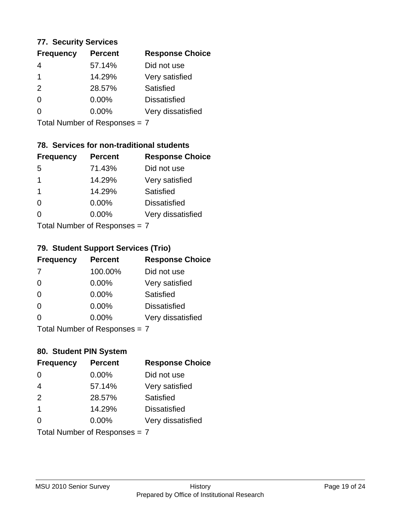### **77. Security Services**

| <b>Frequency</b> | <b>Percent</b> | <b>Response Choice</b> |
|------------------|----------------|------------------------|
| 4                | 57.14%         | Did not use            |
|                  | 14.29%         | Very satisfied         |
| $\mathcal{P}$    | 28.57%         | Satisfied              |
| 0                | 0.00%          | <b>Dissatisfied</b>    |
| O                | $0.00\%$       | Very dissatisfied      |
|                  |                |                        |

Total Number of Responses = 7

## **78. Services for non-traditional students**

| <b>Frequency</b>          | <b>Percent</b> | <b>Response Choice</b> |
|---------------------------|----------------|------------------------|
| -5                        | 71.43%         | Did not use            |
| 1                         | 14.29%         | Very satisfied         |
| -1                        | 14.29%         | Satisfied              |
| $\Omega$                  | 0.00%          | <b>Dissatisfied</b>    |
| ∩                         | 0.00%          | Very dissatisfied      |
| Total Number of Desponses |                |                        |

Total Number of Responses = 7

## **79. Student Support Services (Trio)**

| <b>Frequency</b>              | <b>Percent</b> | <b>Response Choice</b> |
|-------------------------------|----------------|------------------------|
| -7                            | 100.00%        | Did not use            |
| $\Omega$                      | $0.00\%$       | Very satisfied         |
| $\Omega$                      | $0.00\%$       | <b>Satisfied</b>       |
| $\Omega$                      | $0.00\%$       | <b>Dissatisfied</b>    |
| $\Omega$                      | $0.00\%$       | Very dissatisfied      |
| $Total Number of Denonce = 7$ |                |                        |

Total Number of Responses = 7

## **80. Student PIN System**

| <b>Frequency</b>        | <b>Percent</b>                | <b>Response Choice</b> |
|-------------------------|-------------------------------|------------------------|
| $\Omega$                | 0.00%                         | Did not use            |
| $\overline{4}$          | 57.14%                        | Very satisfied         |
| 2                       | 28.57%                        | Satisfied              |
| $\overline{\mathbf{1}}$ | 14.29%                        | <b>Dissatisfied</b>    |
| $\Omega$                | $0.00\%$                      | Very dissatisfied      |
|                         | Total Number of Responses = 7 |                        |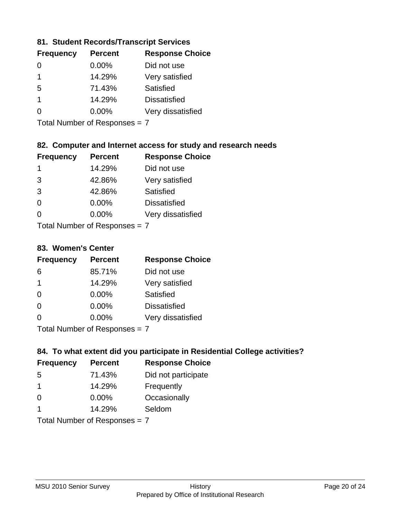### **81. Student Records/Transcript Services**

| <b>Frequency</b> | <b>Percent</b> | <b>Response Choice</b> |
|------------------|----------------|------------------------|
| 0                | 0.00%          | Did not use            |
| 1                | 14.29%         | Very satisfied         |
| 5                | 71.43%         | Satisfied              |
| 1                | 14.29%         | <b>Dissatisfied</b>    |
|                  | $0.00\%$       | Very dissatisfied      |

Total Number of Responses = 7

## **82. Computer and Internet access for study and research needs**

| <b>Frequency</b> | <b>Percent</b> | <b>Response Choice</b> |
|------------------|----------------|------------------------|
| 1                | 14.29%         | Did not use            |
| 3                | 42.86%         | Very satisfied         |
| 3                | 42.86%         | <b>Satisfied</b>       |
| 0                | 0.00%          | <b>Dissatisfied</b>    |
| O                | 0.00%          | Very dissatisfied      |
|                  |                |                        |

Total Number of Responses = 7

#### **83. Women's Center**

| <b>Frequency</b> | <b>Percent</b> | <b>Response Choice</b> |
|------------------|----------------|------------------------|
| 6                | 85.71%         | Did not use            |
| 1                | 14.29%         | Very satisfied         |
| $\Omega$         | 0.00%          | <b>Satisfied</b>       |
| $\Omega$         | $0.00\%$       | <b>Dissatisfied</b>    |
| 0                | 0.00%          | Very dissatisfied      |
|                  |                |                        |

Total Number of Responses = 7

### **84. To what extent did you participate in Residential College activities?**

| <b>Frequency</b>              | <b>Percent</b> | <b>Response Choice</b> |
|-------------------------------|----------------|------------------------|
| -5                            | 71.43%         | Did not participate    |
| 1                             | 14.29%         | Frequently             |
| $\Omega$                      | 0.00%          | Occasionally           |
| 1                             | 14.29%         | Seldom                 |
| $Total Number of Denonce = 7$ |                |                        |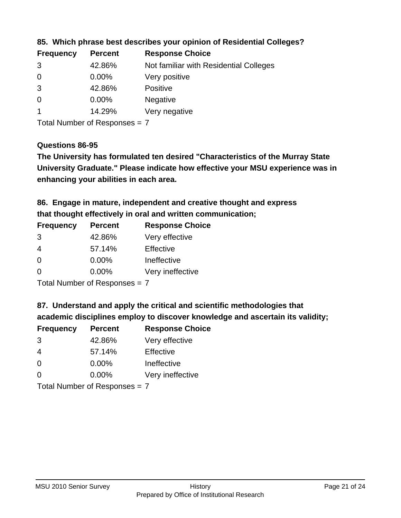| <b>Frequency</b> | <b>Percent</b> | <b>Response Choice</b>                 |
|------------------|----------------|----------------------------------------|
| 3                | 42.86%         | Not familiar with Residential Colleges |
| $\overline{0}$   | $0.00\%$       | Very positive                          |
| 3                | 42.86%         | <b>Positive</b>                        |
| $\overline{0}$   | $0.00\%$       | <b>Negative</b>                        |
|                  | 14.29%         | Very negative                          |

**85. Which phrase best describes your opinion of Residential Colleges?**

Total Number of Responses = 7

#### **Questions 86-95**

**University Graduate." Please indicate how effective your MSU experience was in The University has formulated ten desired "Characteristics of the Murray State enhancing your abilities in each area.**

**86. Engage in mature, independent and creative thought and express that thought effectively in oral and written communication;**

| <b>Frequency</b> | <b>Percent</b> | <b>Response Choice</b> |
|------------------|----------------|------------------------|
| 3                | 42.86%         | Very effective         |
| 4                | 57.14%         | Effective              |
| $\Omega$         | $0.00\%$       | Ineffective            |
| $\Omega$         | $0.00\%$       | Very ineffective       |

Total Number of Responses = 7

**87. Understand and apply the critical and scientific methodologies that** 

**academic disciplines employ to discover knowledge and ascertain its validity;**

| <b>Frequency</b> | <b>Percent</b> | <b>Response Choice</b> |
|------------------|----------------|------------------------|
| 3                | 42.86%         | Very effective         |
| 4                | 57.14%         | Effective              |
| $\Omega$         | 0.00%          | Ineffective            |
| ∩                | 0.00%          | Very ineffective       |
|                  |                |                        |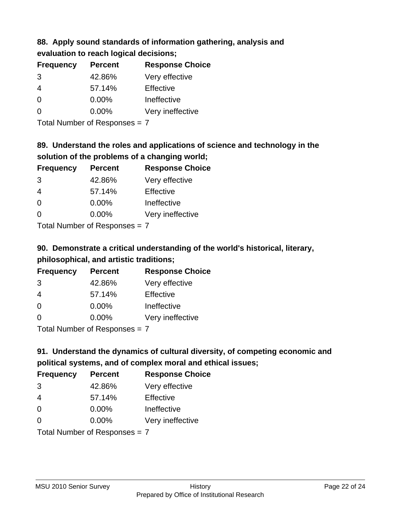## **88. Apply sound standards of information gathering, analysis and evaluation to reach logical decisions;**

| <b>Percent</b> | <b>Response Choice</b> |
|----------------|------------------------|
| 42.86%         | Very effective         |
| 57.14%         | Effective              |
| 0.00%          | Ineffective            |
| $0.00\%$       | Very ineffective       |
|                |                        |

Total Number of Responses = 7

## **89. Understand the roles and applications of science and technology in the solution of the problems of a changing world;**

| <b>Frequency</b> | <b>Percent</b>                                                                                                                                                                                                                 | <b>Response Choice</b> |
|------------------|--------------------------------------------------------------------------------------------------------------------------------------------------------------------------------------------------------------------------------|------------------------|
| 3                | 42.86%                                                                                                                                                                                                                         | Very effective         |
| $\overline{4}$   | 57.14%                                                                                                                                                                                                                         | Effective              |
| $\Omega$         | 0.00%                                                                                                                                                                                                                          | Ineffective            |
| $\Omega$         | 0.00%                                                                                                                                                                                                                          | Very ineffective       |
|                  | The INDIAN Contract Contract Contract Contract Contract Contract Contract Contract Contract Contract Contract Contract Contract Contract Contract Contract Contract Contract Contract Contract Contract Contract Contract Cont |                        |

Total Number of Responses = 7

# **90. Demonstrate a critical understanding of the world's historical, literary, philosophical, and artistic traditions;**

| <b>Frequency</b> | <b>Percent</b> | <b>Response Choice</b> |
|------------------|----------------|------------------------|
| 3                | 42.86%         | Very effective         |
| 4                | 57.14%         | Effective              |
| $\Omega$         | $0.00\%$       | Ineffective            |
| $\Omega$         | 0.00%          | Very ineffective       |
|                  |                |                        |

Total Number of Responses = 7

# **91. Understand the dynamics of cultural diversity, of competing economic and political systems, and of complex moral and ethical issues;**

| <b>Frequency</b>              | <b>Percent</b> | <b>Response Choice</b> |
|-------------------------------|----------------|------------------------|
| 3                             | 42.86%         | Very effective         |
| $\overline{4}$                | 57.14%         | Effective              |
| 0                             | $0.00\%$       | Ineffective            |
| $\Omega$                      | 0.00%          | Very ineffective       |
| Total Number of Responses = 7 |                |                        |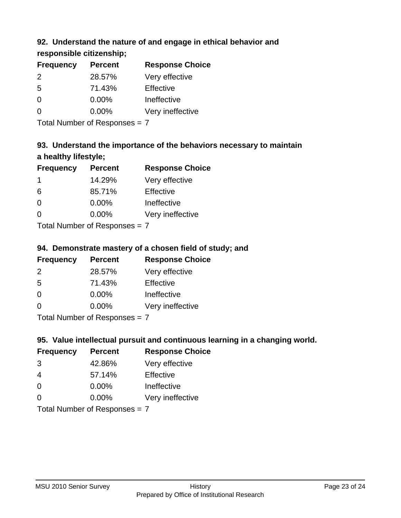## **92. Understand the nature of and engage in ethical behavior and**

**responsible citizenship;**

| <b>Frequency</b> | <b>Percent</b> | <b>Response Choice</b> |
|------------------|----------------|------------------------|
| $\mathcal{P}$    | 28.57%         | Very effective         |
| .5               | 71.43%         | Effective              |
| 0                | $0.00\%$       | Ineffective            |
| ∩                | $0.00\%$       | Very ineffective       |
|                  |                |                        |

Total Number of Responses = 7

# **93. Understand the importance of the behaviors necessary to maintain a healthy lifestyle;**

| <b>Frequency</b>            | <b>Percent</b> | <b>Response Choice</b> |
|-----------------------------|----------------|------------------------|
|                             | 14.29%         | Very effective         |
| 6                           | 85.71%         | Effective              |
| $\Omega$                    | $0.00\%$       | Ineffective            |
| $\Omega$                    | 0.00%          | Very ineffective       |
| Tatal Manuela and Dannanana |                |                        |

Total Number of Responses = 7

## **94. Demonstrate mastery of a chosen field of study; and**

| <b>Frequency</b> | <b>Percent</b> | <b>Response Choice</b> |
|------------------|----------------|------------------------|
| $\mathcal{P}$    | 28.57%         | Very effective         |
| .5               | 71.43%         | Effective              |
| 0                | $0.00\%$       | Ineffective            |
| ∩                | $0.00\%$       | Very ineffective       |
|                  |                |                        |

Total Number of Responses = 7

## **95. Value intellectual pursuit and continuous learning in a changing world.**

| <b>Frequency</b>                                                                                                        | <b>Percent</b> | <b>Response Choice</b> |
|-------------------------------------------------------------------------------------------------------------------------|----------------|------------------------|
| 3                                                                                                                       | 42.86%         | Very effective         |
| 4                                                                                                                       | 57.14%         | Effective              |
| $\Omega$                                                                                                                | $0.00\%$       | Ineffective            |
| $\Omega$                                                                                                                | 0.00%          | Very ineffective       |
| $\tau$ . $\tau$ . In the set of $\tau$ , $\tau$ , $\tau$ , $\tau$ , $\tau$ , $\tau$ , $\tau$ , $\tau$ , $\tau$ , $\tau$ |                |                        |